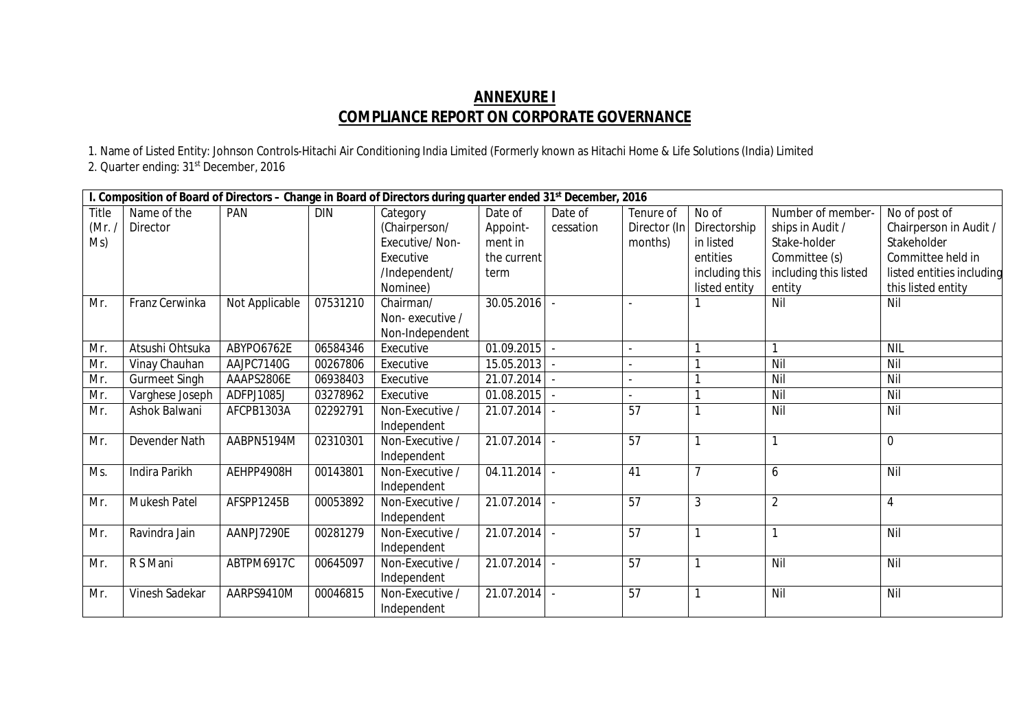## **ANNEXURE I COMPLIANCE REPORT ON CORPORATE GOVERNANCE**

1. Name of Listed Entity: Johnson Controls-Hitachi Air Conditioning India Limited (Formerly known as Hitachi Home & Life Solutions (India) Limited

2. Quarter ending: 31<sup>st</sup> December, 2016

|       | I. Composition of Board of Directors - Change in Board of Directors during quarter ended 31 <sup>st</sup> December, 2016 |                |            |                 |                |           |                 |                |                       |                           |
|-------|--------------------------------------------------------------------------------------------------------------------------|----------------|------------|-----------------|----------------|-----------|-----------------|----------------|-----------------------|---------------------------|
| Title | Name of the                                                                                                              | PAN            | <b>DIN</b> | Category        | Date of        | Date of   | Tenure of       | No of          | Number of member-     | No of post of             |
| (Mr.  | Director                                                                                                                 |                |            | (Chairperson/   | Appoint-       | cessation | Director (In    | Directorship   | ships in Audit /      | Chairperson in Audit /    |
| Ms)   |                                                                                                                          |                |            | Executive/Non-  | ment in        |           | months)         | in listed      | Stake-holder          | Stakeholder               |
|       |                                                                                                                          |                |            | Executive       | the current    |           |                 | entities       | Committee (s)         | Committee held in         |
|       |                                                                                                                          |                |            | /Independent/   | term           |           |                 | including this | including this listed | listed entities including |
|       |                                                                                                                          |                |            | Nominee)        |                |           |                 | listed entity  | entity                | this listed entity        |
| Mr.   | Franz Cerwinka                                                                                                           | Not Applicable | 07531210   | Chairman/       | 30.05.2016     |           |                 |                | Nil                   | Nil                       |
|       |                                                                                                                          |                |            | Non-executive / |                |           |                 |                |                       |                           |
|       |                                                                                                                          |                |            | Non-Independent |                |           |                 |                |                       |                           |
| Mr.   | Atsushi Ohtsuka                                                                                                          | ABYPO6762E     | 06584346   | Executive       | 01.09.2015     |           |                 |                |                       | <b>NIL</b>                |
| Mr.   | Vinay Chauhan                                                                                                            | AAJPC7140G     | 00267806   | Executive       | 15.05.2013     |           | $\sim$          |                | Nil                   | Nil                       |
| Mr.   | <b>Gurmeet Singh</b>                                                                                                     | AAAPS2806E     | 06938403   | Executive       | $21.07.2014$ - |           |                 |                | Nil                   | Nil                       |
| Mr.   | Varghese Joseph                                                                                                          | ADFPJ1085J     | 03278962   | Executive       | 01.08.2015     |           |                 |                | Nil                   | Nil                       |
| Mr.   | Ashok Balwani                                                                                                            | AFCPB1303A     | 02292791   | Non-Executive / | 21.07.2014     |           | 57              |                | Nil                   | Nil                       |
|       |                                                                                                                          |                |            | Independent     |                |           |                 |                |                       |                           |
| Mr.   | Devender Nath                                                                                                            | AABPN5194M     | 02310301   | Non-Executive / | 21.07.2014     |           | 57              |                |                       | $\mathbf 0$               |
|       |                                                                                                                          |                |            | Independent     |                |           |                 |                |                       |                           |
| Ms.   | Indira Parikh                                                                                                            | AEHPP4908H     | 00143801   | Non-Executive / | 04.11.2014     |           | 41              |                | 6                     | Nil                       |
|       |                                                                                                                          |                |            | Independent     |                |           |                 |                |                       |                           |
| Mr.   | <b>Mukesh Patel</b>                                                                                                      | AFSPP1245B     | 00053892   | Non-Executive / | 21.07.2014     |           | 57              | 3              | $\overline{2}$        | 4                         |
|       |                                                                                                                          |                |            | Independent     |                |           |                 |                |                       |                           |
| Mr.   | Ravindra Jain                                                                                                            | AANPJ7290E     | 00281279   | Non-Executive / | 21.07.2014     |           | 57              |                | 1                     | Nil                       |
|       |                                                                                                                          |                |            | Independent     |                |           |                 |                |                       |                           |
| Mr.   | R S Mani                                                                                                                 | ABTPM6917C     | 00645097   | Non-Executive / | 21.07.2014     |           | 57              |                | Nil                   | Nil                       |
|       |                                                                                                                          |                |            | Independent     |                |           |                 |                |                       |                           |
| Mr.   | Vinesh Sadekar                                                                                                           | AARPS9410M     | 00046815   | Non-Executive / | 21.07.2014     |           | $\overline{57}$ |                | Nil                   | Nil                       |
|       |                                                                                                                          |                |            | Independent     |                |           |                 |                |                       |                           |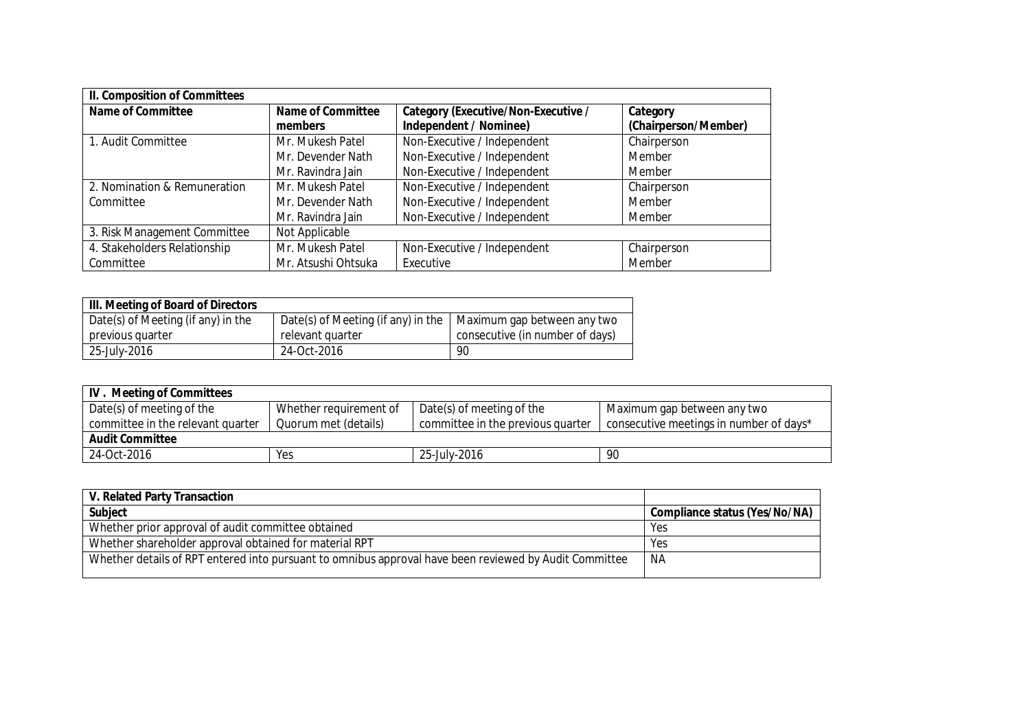| <b>II. Composition of Committees</b> |                                     |                                                               |                                  |  |  |
|--------------------------------------|-------------------------------------|---------------------------------------------------------------|----------------------------------|--|--|
| <b>Name of Committee</b>             | <b>Name of Committee</b><br>members | Category (Executive/Non-Executive /<br>Independent / Nominee) | Category<br>(Chairperson/Member) |  |  |
| 1. Audit Committee                   | Mr. Mukesh Patel                    | Non-Executive / Independent                                   | Chairperson                      |  |  |
|                                      | Mr. Devender Nath                   | Non-Executive / Independent                                   | Member                           |  |  |
|                                      | Mr. Ravindra Jain                   | Non-Executive / Independent                                   | Member                           |  |  |
| 2. Nomination & Remuneration         | Mr. Mukesh Patel                    | Non-Executive / Independent                                   | Chairperson                      |  |  |
| Committee                            | Mr. Devender Nath                   | Non-Executive / Independent                                   | Member                           |  |  |
|                                      | Mr. Ravindra Jain                   | Non-Executive / Independent                                   | Member                           |  |  |
| 3. Risk Management Committee         | Not Applicable                      |                                                               |                                  |  |  |
| 4. Stakeholders Relationship         | Mr. Mukesh Patel                    | Non-Executive / Independent                                   | Chairperson                      |  |  |
| Committee                            | Mr. Atsushi Ohtsuka                 | Executive                                                     | Member                           |  |  |

| III. Meeting of Board of Directors |                                    |                                 |  |  |  |  |
|------------------------------------|------------------------------------|---------------------------------|--|--|--|--|
| Date(s) of Meeting (if any) in the | Date(s) of Meeting (if any) in the | Maximum gap between any two     |  |  |  |  |
| previous quarter                   | relevant quarter                   | consecutive (in number of days) |  |  |  |  |
| 25-July-2016                       | 24-Oct-2016                        | 90                              |  |  |  |  |

| <b>IV.</b> Meeting of Committees  |                        |                                   |                                         |  |  |  |
|-----------------------------------|------------------------|-----------------------------------|-----------------------------------------|--|--|--|
| Date(s) of meeting of the         | Whether requirement of | Date(s) of meeting of the         | Maximum gap between any two             |  |  |  |
| committee in the relevant quarter | Quorum met (details)   | committee in the previous quarter | consecutive meetings in number of days* |  |  |  |
| <b>Audit Committee</b>            |                        |                                   |                                         |  |  |  |
| 24-Oct-2016                       | Yes                    | 25-July-2016                      | 90                                      |  |  |  |

| V. Related Party Transaction                                                                           |                               |
|--------------------------------------------------------------------------------------------------------|-------------------------------|
| <b>Subject</b>                                                                                         | Compliance status (Yes/No/NA) |
| Whether prior approval of audit committee obtained                                                     | Yes                           |
| Whether shareholder approval obtained for material RPT                                                 | Yes                           |
| Whether details of RPT entered into pursuant to omnibus approval have been reviewed by Audit Committee | NA                            |
|                                                                                                        |                               |